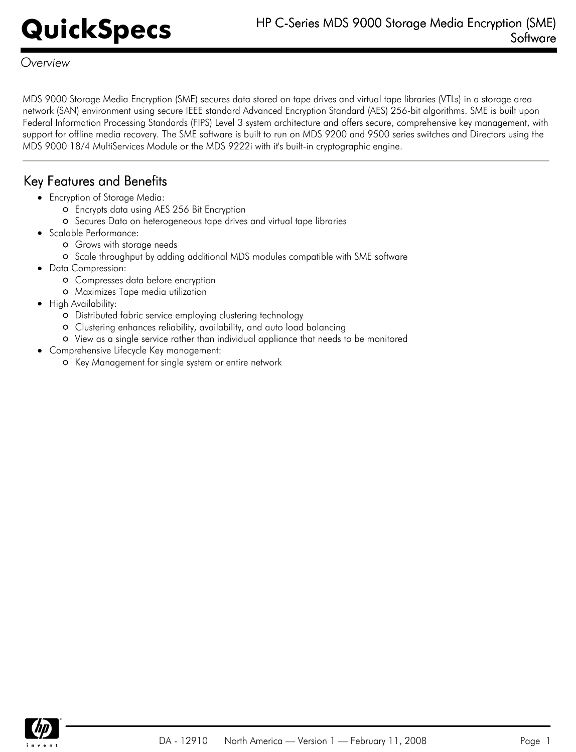*Overview*

MDS 9000 Storage Media Encryption (SME) secures data stored on tape drives and virtual tape libraries (VTLs) in a storage area network (SAN) environment using secure IEEE standard Advanced Encryption Standard (AES) 256-bit algorithms. SME is built upon Federal Information Processing Standards (FIPS) Level 3 system architecture and offers secure, comprehensive key management, with support for offline media recovery. The SME software is built to run on MDS 9200 and 9500 series switches and Directors using the MDS 9000 18/4 MultiServices Module or the MDS 9222i with it's built-in cryptographic engine.

### Key Features and Benefits

- Encryption of Storage Media:
	- Encrypts data using AES 256 Bit Encryption
	- Secures Data on heterogeneous tape drives and virtual tape libraries
- Scalable Performance:
	- Grows with storage needs
	- o Scale throughput by adding additional MDS modules compatible with SME software
- Data Compression:
	- Compresses data before encryption
	- Maximizes Tape media utilization
- High Availability:
	- Distributed fabric service employing clustering technology
	- Clustering enhances reliability, availability, and auto load balancing
	- View as a single service rather than individual appliance that needs to be monitored
- Comprehensive Lifecycle Key management:
	- o Key Management for single system or entire network

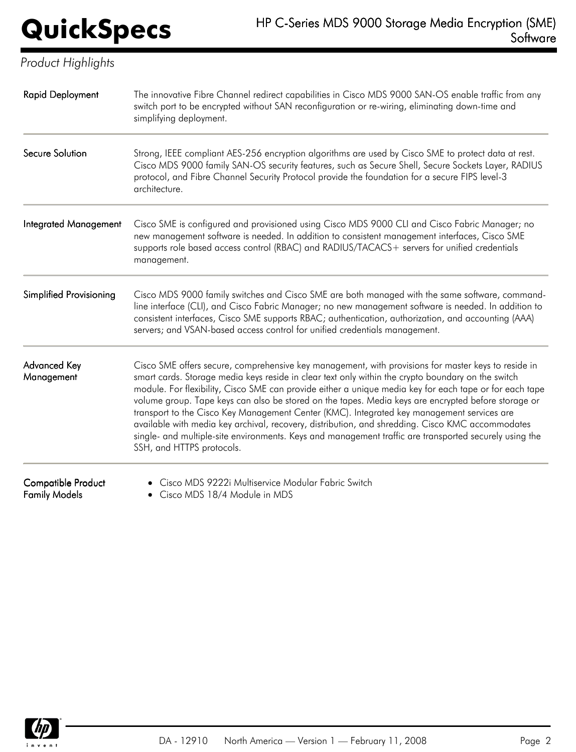| Product Highlights                         |                                                                                                                                                                                                                                                                                                                                                                                                                                                                                                                                                                                                                                                                                                                                                                      |
|--------------------------------------------|----------------------------------------------------------------------------------------------------------------------------------------------------------------------------------------------------------------------------------------------------------------------------------------------------------------------------------------------------------------------------------------------------------------------------------------------------------------------------------------------------------------------------------------------------------------------------------------------------------------------------------------------------------------------------------------------------------------------------------------------------------------------|
| <b>Rapid Deployment</b>                    | The innovative Fibre Channel redirect capabilities in Cisco MDS 9000 SAN-OS enable traffic from any<br>switch port to be encrypted without SAN reconfiguration or re-wiring, eliminating down-time and<br>simplifying deployment.                                                                                                                                                                                                                                                                                                                                                                                                                                                                                                                                    |
| Secure Solution                            | Strong, IEEE compliant AES-256 encryption algorithms are used by Cisco SME to protect data at rest.<br>Cisco MDS 9000 family SAN-OS security features, such as Secure Shell, Secure Sockets Layer, RADIUS<br>protocol, and Fibre Channel Security Protocol provide the foundation for a secure FIPS level-3<br>architecture.                                                                                                                                                                                                                                                                                                                                                                                                                                         |
| <b>Integrated Management</b>               | Cisco SME is configured and provisioned using Cisco MDS 9000 CLI and Cisco Fabric Manager; no<br>new management software is needed. In addition to consistent management interfaces, Cisco SME<br>supports role based access control (RBAC) and RADIUS/TACACS+ servers for unified credentials<br>management.                                                                                                                                                                                                                                                                                                                                                                                                                                                        |
| <b>Simplified Provisioning</b>             | Cisco MDS 9000 family switches and Cisco SME are both managed with the same software, command-<br>line interface (CLI), and Cisco Fabric Manager; no new management software is needed. In addition to<br>consistent interfaces, Cisco SME supports RBAC; authentication, authorization, and accounting (AAA)<br>servers; and VSAN-based access control for unified credentials management.                                                                                                                                                                                                                                                                                                                                                                          |
| Advanced Key<br>Management                 | Cisco SME offers secure, comprehensive key management, with provisions for master keys to reside in<br>smart cards. Storage media keys reside in clear text only within the crypto boundary on the switch<br>module. For flexibility, Cisco SME can provide either a unique media key for each tape or for each tape<br>volume group. Tape keys can also be stored on the tapes. Media keys are encrypted before storage or<br>transport to the Cisco Key Management Center (KMC). Integrated key management services are<br>available with media key archival, recovery, distribution, and shredding. Cisco KMC accommodates<br>single- and multiple-site environments. Keys and management traffic are transported securely using the<br>SSH, and HTTPS protocols. |
| Compatible Product<br><b>Family Models</b> | Cisco MDS 9222i Multiservice Modular Fabric Switch<br>• Cisco MDS 18/4 Module in MDS                                                                                                                                                                                                                                                                                                                                                                                                                                                                                                                                                                                                                                                                                 |

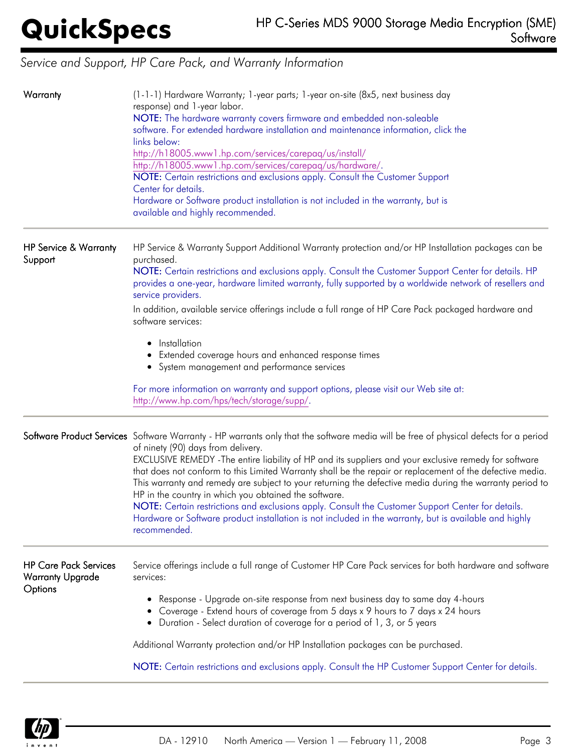# *Service and Support, HP Care Pack, and Warranty Information*

| Warranty                                                           | (1-1-1) Hardware Warranty; 1-year parts; 1-year on-site (8x5, next business day<br>response) and 1-year labor.<br>NOTE: The hardware warranty covers firmware and embedded non-saleable<br>software. For extended hardware installation and maintenance information, click the<br>links below:<br>http://h18005.www1.hp.com/services/carepaq/us/install/<br>http://h18005.www1.hp.com/services/carepaq/us/hardware/.<br>NOTE: Certain restrictions and exclusions apply. Consult the Customer Support<br>Center for details.<br>Hardware or Software product installation is not included in the warranty, but is<br>available and highly recommended.                                                                                                                                                |
|--------------------------------------------------------------------|-------------------------------------------------------------------------------------------------------------------------------------------------------------------------------------------------------------------------------------------------------------------------------------------------------------------------------------------------------------------------------------------------------------------------------------------------------------------------------------------------------------------------------------------------------------------------------------------------------------------------------------------------------------------------------------------------------------------------------------------------------------------------------------------------------|
| <b>HP Service &amp; Warranty</b><br>Support                        | HP Service & Warranty Support Additional Warranty protection and/or HP Installation packages can be<br>purchased.<br>NOTE: Certain restrictions and exclusions apply. Consult the Customer Support Center for details. HP<br>provides a one-year, hardware limited warranty, fully supported by a worldwide network of resellers and<br>service providers.                                                                                                                                                                                                                                                                                                                                                                                                                                            |
|                                                                    | In addition, available service offerings include a full range of HP Care Pack packaged hardware and<br>software services:                                                                                                                                                                                                                                                                                                                                                                                                                                                                                                                                                                                                                                                                             |
|                                                                    | • Installation<br>• Extended coverage hours and enhanced response times<br>• System management and performance services                                                                                                                                                                                                                                                                                                                                                                                                                                                                                                                                                                                                                                                                               |
|                                                                    | For more information on warranty and support options, please visit our Web site at:<br>http://www.hp.com/hps/tech/storage/supp/.                                                                                                                                                                                                                                                                                                                                                                                                                                                                                                                                                                                                                                                                      |
|                                                                    | Software Product Services Software Warranty - HP warrants only that the software media will be free of physical defects for a period<br>of ninety (90) days from delivery.<br>EXCLUSIVE REMEDY - The entire liability of HP and its suppliers and your exclusive remedy for software<br>that does not conform to this Limited Warranty shall be the repair or replacement of the defective media.<br>This warranty and remedy are subject to your returning the defective media during the warranty period to<br>HP in the country in which you obtained the software.<br>NOTE: Certain restrictions and exclusions apply. Consult the Customer Support Center for details.<br>Hardware or Software product installation is not included in the warranty, but is available and highly<br>recommended. |
| <b>HP Care Pack Services</b><br><b>Warranty Upgrade</b><br>Options | Service offerings include a full range of Customer HP Care Pack services for both hardware and software<br>services:                                                                                                                                                                                                                                                                                                                                                                                                                                                                                                                                                                                                                                                                                  |
|                                                                    | Response - Upgrade on-site response from next business day to same day 4-hours<br>• Coverage - Extend hours of coverage from 5 days x 9 hours to 7 days x 24 hours<br>• Duration - Select duration of coverage for a period of 1, 3, or 5 years                                                                                                                                                                                                                                                                                                                                                                                                                                                                                                                                                       |
|                                                                    | Additional Warranty protection and/or HP Installation packages can be purchased.                                                                                                                                                                                                                                                                                                                                                                                                                                                                                                                                                                                                                                                                                                                      |
|                                                                    | NOTE: Certain restrictions and exclusions apply. Consult the HP Customer Support Center for details.                                                                                                                                                                                                                                                                                                                                                                                                                                                                                                                                                                                                                                                                                                  |

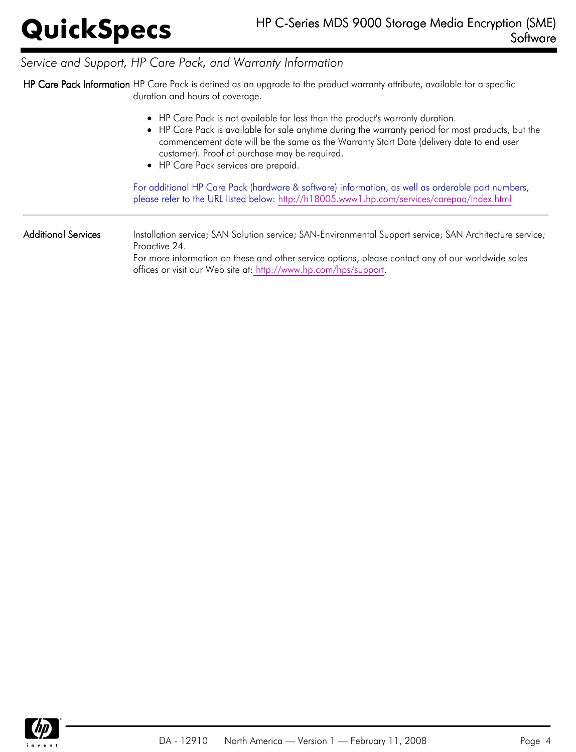## *Service and Support, HP Care Pack, and Warranty Information*

HP Care Pack Information HP Care Pack is defined as an upgrade to the product warranty attribute, available for a specific duration and hours of coverage.

|                     | • HP Care Pack is not available for less than the product's warranty duration.<br>• HP Care Pack is available for sale anytime during the warranty period for most products, but the<br>commencement date will be the same as the Warranty Start Date (delivery date to end user<br>customer). Proof of purchase may be required.<br>• HP Care Pack services are prepaid.<br>For additional HP Care Pack (hardware & software) information, as well as orderable part numbers, |
|---------------------|--------------------------------------------------------------------------------------------------------------------------------------------------------------------------------------------------------------------------------------------------------------------------------------------------------------------------------------------------------------------------------------------------------------------------------------------------------------------------------|
| Additional Services | please refer to the URL listed below: http://h18005.www1.hp.com/services/carepag/index.html<br>Installation service; SAN Solution service; SAN-Environmental Support service; SAN Architecture service;<br>Proactive 24.<br>For more information on these and other service options, please contact any of our worldwide sales<br>offices or visit our Web site at: http://www.hp.com/hps/support.                                                                             |

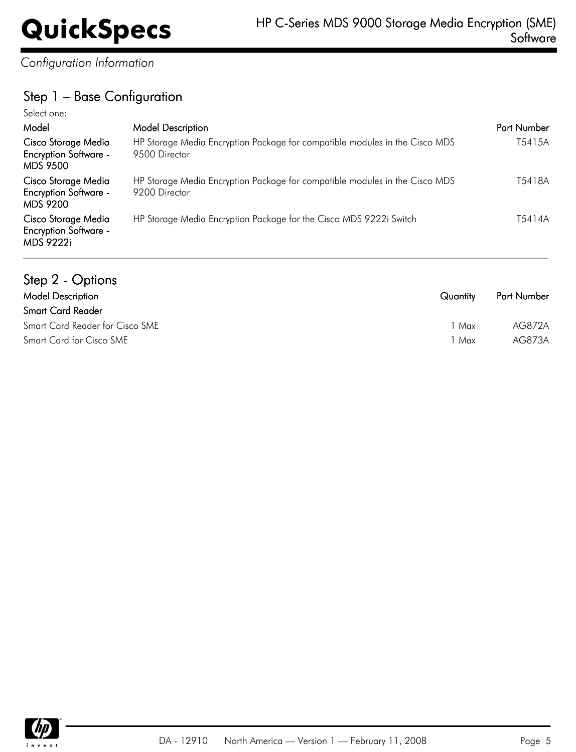*Configuration Information*

## Step 1 – Base Configuration

| Select one:                                                             |                                                                                              |             |
|-------------------------------------------------------------------------|----------------------------------------------------------------------------------------------|-------------|
| Model                                                                   | <b>Model Description</b>                                                                     | Part Number |
| Cisco Storage Media<br><b>Encryption Software -</b><br><b>MDS 9500</b>  | HP Storage Media Encryption Package for compatible modules in the Cisco MDS<br>9500 Director | T5415A      |
| Cisco Storage Media<br><b>Encryption Software -</b><br><b>MDS 9200</b>  | HP Storage Media Encryption Package for compatible modules in the Cisco MDS<br>9200 Director | T5418A      |
| Cisco Storage Media<br><b>Encryption Software -</b><br><b>MDS 9222i</b> | HP Storage Media Encryption Package for the Cisco MDS 9222i Switch                           | T5414A      |

| Step 2 - Options                |          |                    |
|---------------------------------|----------|--------------------|
| <b>Model Description</b>        | Quantity | <b>Part Number</b> |
| <b>Smart Card Reader</b>        |          |                    |
| Smart Card Reader for Cisco SME | 1 Max    | AG872A             |
| Smart Card for Cisco SME        | 1 Max    | AG873A             |